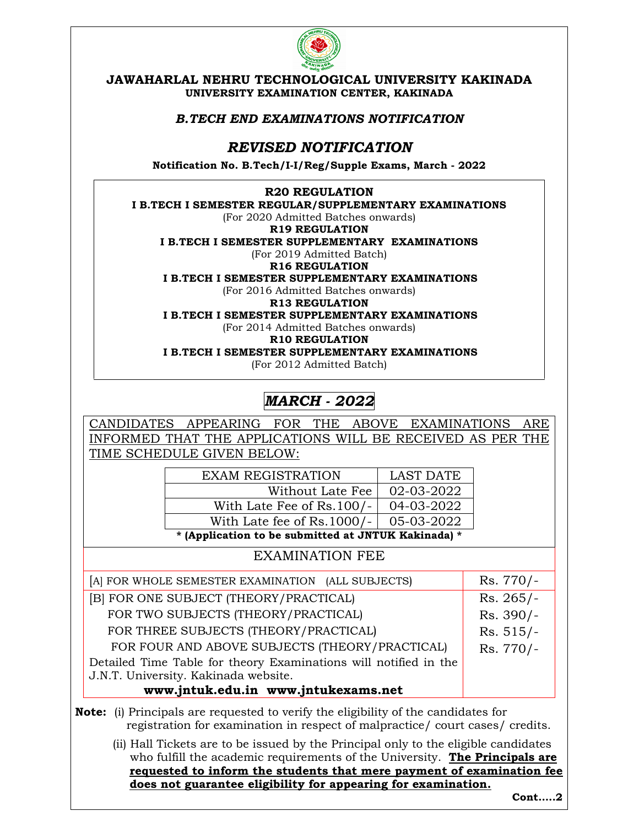

JAWAHARLAL NEHRU TECHNOLOGICAL UNIVERSITY KAKINADA UNIVERSITY EXAMINATION CENTER, KAKINADA

### B.TECH END EXAMINATIONS NOTIFICATION

## REVISED NOTIFICATION

Notification No. B.Tech/I-I/Reg/Supple Exams, March - 2022

#### R20 REGULATION

I B.TECH I SEMESTER REGULAR/SUPPLEMENTARY EXAMINATIONS

(For 2020 Admitted Batches onwards)

R19 REGULATION

I B.TECH I SEMESTER SUPPLEMENTARY EXAMINATIONS

(For 2019 Admitted Batch)

R16 REGULATION I B.TECH I SEMESTER SUPPLEMENTARY EXAMINATIONS

(For 2016 Admitted Batches onwards)

R13 REGULATION

I B.TECH I SEMESTER SUPPLEMENTARY EXAMINATIONS

(For 2014 Admitted Batches onwards)

R10 REGULATION

I B.TECH I SEMESTER SUPPLEMENTARY EXAMINATIONS

(For 2012 Admitted Batch)

# MARCH - 2022

CANDIDATES APPEARING FOR THE ABOVE EXAMINATIONS ARE INFORMED THAT THE APPLICATIONS WILL BE RECEIVED AS PER THE TIME SCHEDULE GIVEN BELOW:

| * (Application to be submitted at JNTUK Kakinada) * |                  |  |
|-----------------------------------------------------|------------------|--|
| With Late fee of Rs.1000/-                          | 05-03-2022       |  |
| With Late Fee of Rs.100/-                           | 04-03-2022       |  |
| Without Late Fee                                    | 02-03-2022       |  |
| <b>EXAM REGISTRATION</b>                            | <b>LAST DATE</b> |  |

### EXAMINATION FEE

| [A] FOR WHOLE SEMESTER EXAMINATION (ALL SUBJECTS)                | $Rs.770/-$  |
|------------------------------------------------------------------|-------------|
| [B] FOR ONE SUBJECT (THEORY/PRACTICAL)                           | $Rs. 265/-$ |
| FOR TWO SUBJECTS (THEORY/PRACTICAL)                              | Rs. 390/-   |
| FOR THREE SUBJECTS (THEORY/PRACTICAL)                            | $Rs. 515/-$ |
| FOR FOUR AND ABOVE SUBJECTS (THEORY/PRACTICAL)                   | Rs. 770/-   |
| Detailed Time Table for theory Examinations will notified in the |             |
| J.N.T. University. Kakinada website.                             |             |
| www.jntuk.edu.in www.jntukexams.net                              |             |

Note: (i) Principals are requested to verify the eligibility of the candidates for registration for examination in respect of malpractice/ court cases/ credits.

(ii) Hall Tickets are to be issued by the Principal only to the eligible candidates who fulfill the academic requirements of the University. The Principals are requested to inform the students that mere payment of examination fee does not guarantee eligibility for appearing for examination.

Cont…..2